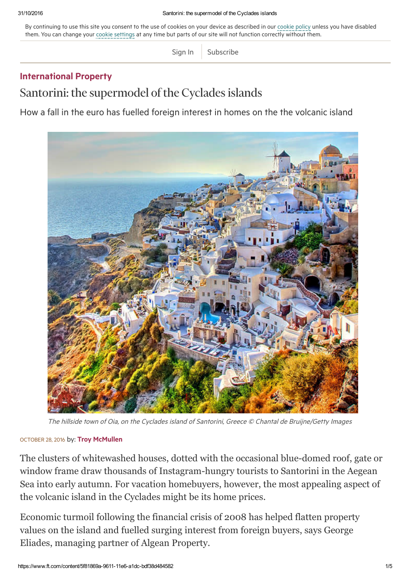By continuing to use this site you consent to the use of cookies on your device as described in our [cookie](http://help.ft.com/tools-services/how-the-ft-manages-cookies-on-its-websites/) policy unless you have disabled them. You can change your cookie [settings](http://help.ft.com/help/legal-privacy/cookies/how-to-manage-cookies/) at any time but parts of our site will not function correctly without them.

[Sign](https://www.ft.com/login?location=%2Fcontent%2F5f81869a-9611-11e6-a1dc-bdf38d484582) In | [Subscribe](https://www.ft.com/products?segID=400863&segmentID=190b4443-dc03-bd53-e79b-b4b6fbd04e64)

## [International](https://www.ft.com/house-home/international-property) Property

Santorini: the supermodel of the Cyclades islands

How a fall in the euro has fuelled foreign interest in homes on the the volcanic island



The hillside town of Oia, on the Cyclades island of Santorini, Greece © Chantal de Bruijne/Getty Images

## OCTOBER 28, 2016 by: Troy [McMullen](https://www.ft.com/stream/authorsId/Q0ItMDI3MzcyNg==-QXV0aG9ycw==)

The clusters of whitewashed houses, dotted with the occasional blue-domed roof, gate or window frame draw thousands of Instagram-hungry tourists to Santorini in the Aegean Sea into early autumn. For vacation homebuyers, however, the most appealing aspect of the volcanic island in the Cyclades might be its home prices.

Economic turmoil following the financial crisis of 2008 has helped flatten property values on the island and fuelled surging interest from foreign buyers, says George Eliades, managing partner of Algean Property.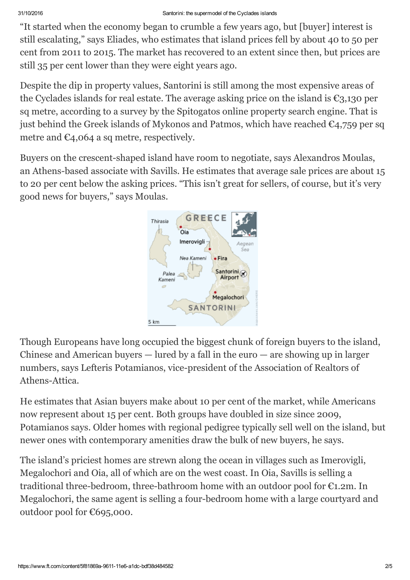"It started when the economy began to crumble a few years ago, but [buyer] interest is still escalating," says Eliades, who estimates that island prices fell by about 40 to 50 per cent from 2011 to 2015. The market has recovered to an extent since then, but prices are still 35 per cent lower than they were eight years ago.

Despite the dip in property values, Santorini is still among the most expensive areas of the Cyclades islands for real estate. The average asking price on the island is  $\epsilon_{3,130}$  per sq metre, according to a survey by the Spitogatos online property search engine. That is just behind the Greek islands of Mykonos and Patmos, which have reached  $C_4$ ,759 per sq metre and  $\epsilon_{4,064}$  a sq metre, respectively.

Buyers on the crescent-shaped island have room to negotiate, says Alexandros Moulas, an Athens-based associate with Savills. He estimates that average sale prices are about 15 to 20 per cent below the asking prices. "This isn't great for sellers, of course, but it's very good news for buyers," says Moulas.



Though Europeans have long occupied the biggest chunk of foreign buyers to the island, Chinese and American buyers — lured by a fall in the euro — are showing up in larger numbers, says Lefteris Potamianos, vice-president of the Association of Realtors of Athens-Attica.

He estimates that Asian buyers make about 10 per cent of the market, while Americans now represent about 15 per cent. Both groups have doubled in size since 2009, Potamianos says. Older homes with regional pedigree typically sell well on the island, but newer ones with contemporary amenities draw the bulk of new buyers, he says.

The island's priciest homes are strewn along the ocean in villages such as Imerovigli, Megalochori and Oia, all of which are on the west coast. In Oia, Savills is selling a traditional three-bedroom, three-bathroom home with an outdoor pool for  $E1.2m$ . In Megalochori, the same agent is selling a four-bedroom home with a large courtyard and outdoor pool for €695,000.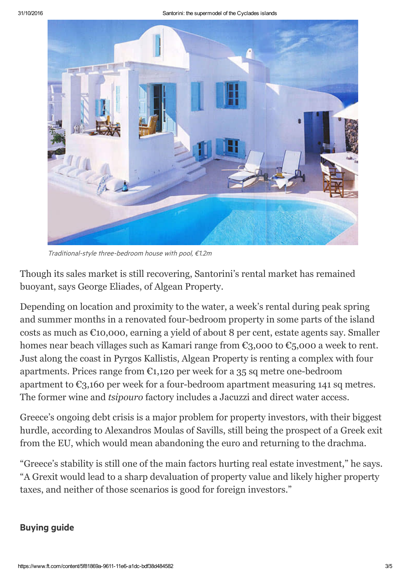

Traditional-style three-bedroom house with pool, €1.2m

Though its sales market is still recovering, Santorini's rental market has remained buoyant, says George Eliades, of Algean Property.

Depending on location and proximity to the water, a week's rental during peak spring and summer months in a renovated four-bedroom property in some parts of the island costs as much as €10,000, earning a yield of about 8 per cent, estate agents say. Smaller homes near beach villages such as Kamari range from  $\epsilon_{3}$ ,000 to  $\epsilon_{5}$ ,000 a week to rent. Just along the coast in Pyrgos Kallistis, Algean Property is renting a complex with four apartments. Prices range from  $\epsilon_{1,120}$  per week for a 35 sq metre one-bedroom apartment to  $\epsilon_{3,160}$  per week for a four-bedroom apartment measuring 141 sq metres. The former wine and *tsipouro* factory includes a Jacuzzi and direct water access.

Greece's ongoing debt crisis is a major problem for property investors, with their biggest hurdle, according to Alexandros Moulas of Savills, still being the prospect of a Greek exit from the EU, which would mean abandoning the euro and returning to the drachma.

"Greece's stability is still one of the main factors hurting real estate investment," he says. "A Grexit would lead to a sharp devaluation of property value and likely higher property taxes, and neither of those scenarios is good for foreign investors."

## Buying guide